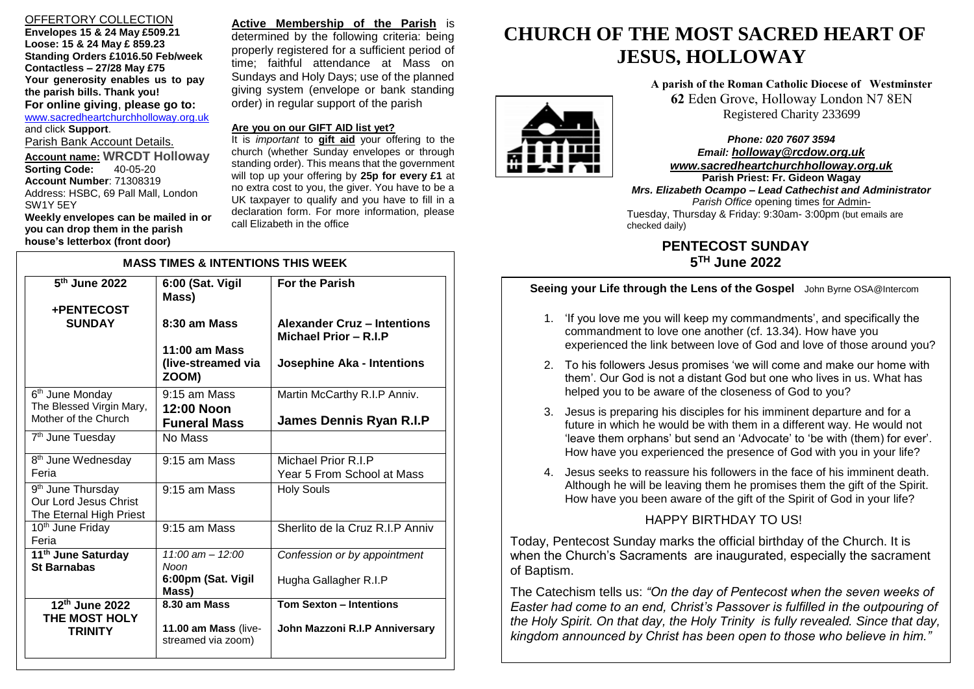## OFFERTORY COLLECTION

**Envelopes 15 & 24 May £509.21 Loose: 15 & 24 May £ 859.23 Standing Orders £1016.50 Feb/week Contactless – 27/28 May £75 Your generosity enables us to pay the parish bills. Thank you! For online giving**, **please go to:** [www.sacredheartchurchholloway.org.uk](http://www.sacredheartchurchholloway.org.uk/) and click **Support**. Parish Bank Account Details. **Account name: WRCDT Holloway Sorting Code:** 

**Account Number**: 71308319 Address: HSBC, 69 Pall Mall, London SW1Y 5EY **Weekly envelopes can be mailed in or** 

**you can drop them in the parish house's letterbox (front door)**

**Active Membership of the Parish** is determined by the following criteria: being properly registered for a sufficient period of time; faithful attendance at Mass on Sundays and Holy Days; use of the planned giving system (envelope or bank standing order) in regular support of the parish

## **Are you on our GIFT AID list yet?**

It is *important* to **gift aid** your offering to the church (whether Sunday envelopes or through standing order). This means that the government will top up your offering by **25p for every £1** at no extra cost to you, the giver. You have to be a UK taxpayer to qualify and you have to fill in a declaration form. For more information, please call Elizabeth in the office

| <b>MASS TIMES &amp; INTENTIONS THIS WEEK</b>                                      |                                                                   |                                                                  |
|-----------------------------------------------------------------------------------|-------------------------------------------------------------------|------------------------------------------------------------------|
| 5 <sup>th</sup> June 2022<br>+PENTECOST                                           | 6:00 (Sat. Vigil<br>Mass)                                         | <b>For the Parish</b>                                            |
| <b>SUNDAY</b>                                                                     | 8:30 am Mass                                                      | Alexander Cruz - Intentions<br>Michael Prior - R.I.P             |
|                                                                                   | $11:00$ am Mass<br>(live-streamed via<br>ZOOM)                    | <b>Josephine Aka - Intentions</b>                                |
| 6 <sup>th</sup> June Monday<br>The Blessed Virgin Mary,<br>Mother of the Church   | $9:15$ am Mass<br>12:00 Noon<br><b>Funeral Mass</b>               | Martin McCarthy R.I.P Anniv.<br>James Dennis Ryan R.I.P          |
| 7 <sup>th</sup> June Tuesday                                                      | No Mass                                                           |                                                                  |
| 8 <sup>th</sup> June Wednesday<br>Feria                                           | 9:15 am Mass                                                      | Michael Prior R.I.P<br>Year 5 From School at Mass                |
| 9 <sup>th</sup> June Thursday<br>Our Lord Jesus Christ<br>The Eternal High Priest | $9:15$ am Mass                                                    | <b>Holy Souls</b>                                                |
| 10 <sup>th</sup> June Friday<br>Feria                                             | 9:15 am Mass                                                      | Sherlito de la Cruz R.I.P Anniv                                  |
| 11 <sup>th</sup> June Saturday<br><b>St Barnabas</b>                              | $11:00 \text{ am} - 12:00$<br>Noon<br>6:00pm (Sat. Vigil<br>Mass) | Confession or by appointment<br>Hugha Gallagher R.I.P            |
| 12th June 2022<br><b>THE MOST HOLY</b><br><b>TRINITY</b>                          | $8.30$ am Mass<br>11.00 am Mass (live-<br>streamed via zoom)      | <b>Tom Sexton - Intentions</b><br>John Mazzoni R.I.P Anniversary |

# **CHURCH OF THE MOST SACRED HEART OF JESUS, HOLLOWAY**

**A parish of the Roman Catholic Diocese of Westminster 62** Eden Grove, Holloway London N7 8EN Registered Charity 233699

*Phone: 020 7607 3594 Email: [holloway@rcdow.org.uk](mailto:holloway@rcdow.org.uk) www.sacredheartchurchholloway.org.uk*

 Tuesday, Thursday & Friday: 9:30am- 3:00pm (but emails are **Parish Priest: Fr. Gideon Wagay** *Mrs. Elizabeth Ocampo – Lead Cathechist and Administrator Parish Office* opening times for Adminchecked daily)

> **PENTECOST SUNDAY 5 TH June 2022**

# **Seeing your Life through the Lens of the Gospel** John Byrne OSA@Intercom

- 1. 'If you love me you will keep my commandments', and specifically the commandment to love one another (cf. 13.34). How have you experienced the link between love of God and love of those around you?
- 2. To his followers Jesus promises 'we will come and make our home with them'. Our God is not a distant God but one who lives in us. What has helped you to be aware of the closeness of God to you?
- 3. Jesus is preparing his disciples for his imminent departure and for a future in which he would be with them in a different way. He would not 'leave them orphans' but send an 'Advocate' to 'be with (them) for ever'. How have you experienced the presence of God with you in your life?
- 4. Jesus seeks to reassure his followers in the face of his imminent death. Although he will be leaving them he promises them the gift of the Spirit. How have you been aware of the gift of the Spirit of God in your life?

# HAPPY BIRTHDAY TO US!

Today, Pentecost Sunday marks the official birthday of the Church. It is when the Church's Sacraments are inaugurated, especially the sacrament of Baptism.

The Catechism tells us: *"On the day of Pentecost when the seven weeks of Easter had come to an end, Christ's Passover is fulfilled in the outpouring of the Holy Spirit. On that day, the Holy Trinity is fully revealed. Since that day, kingdom announced by Christ has been open to those who believe in him."*